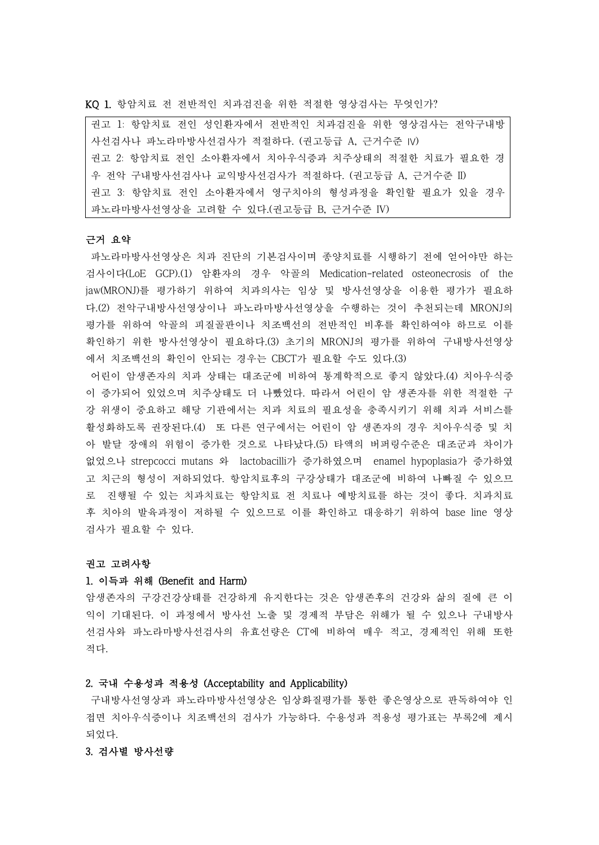KQ 1. 항암치료 전 전반적인 치과검진을 위한 적절한 영상검사는 무엇인가?

| 권고 1: 항암치료 전인 성인환자에서 전반적인 치과검진을 위한 영상검사는 전악구내방  |
|-------------------------------------------------|
| 사선검사나 파노라마방사선검사가 적절하다. (권고등급 A, 근거수준 IV)        |
| 권고 2: 항암치료 전인 소아환자에서 치아우식증과 치주상태의 적절한 치료가 필요한 경 |
| 우 전악 구내방사선검사나 교익방사선검사가 적절하다. (권고등급 A, 근거수준 II)  |
| 권고 3: 항암치료 전인 소아환자에서 영구치아의 형성과정을 확인할 필요가 있을 경우  |
| 파노라마방사선영상을 고려할 수 있다.(권고등급 B, 근거수준 IV)           |

## 근거 요약

파노라마방사선영상은 치과 진단의 기본검사이며 종양치료를 시행하기 전에 얻어야만 하는 검사이다(LoE GCP).(1) 암환자의 경우 악골의 Medication-related osteonecrosis of the jaw(MRONJ)를 평가하기 위하여 치과의사는 임상 및 방사선영상을 이용한 평가가 필요하 다.(2) 전악구내방사선영상이나 파노라마방사선영상을 수행하는 것이 추천되는데 MRONJ의 평가를 위하여 악골의 피질골판이나 치조백선의 전반적인 비후를 확인하여야 하므로 이를 확인하기 위한 방사선영상이 필요하다.(3) 초기의 MRONJ의 평가를 위하여 구내방사선영상 에서 치조백선의 확인이 안되는 경우는 CBCT가 필요할 수도 있다.(3)

어린이 암생존자의 치과 상태는 대조군에 비하여 통계학적으로 좋지 않았다.(4) 치아우식증 이 증가되어 있었으며 치주상태도 더 나빴었다. 따라서 어린이 암 생존자를 위한 적절한 구 강 위생이 중요하고 해당 기관에서는 치과 치료의 필요성을 충족시키기 위해 치과 서비스를 활성화하도록 권장된다.(4) 또 다른 연구에서는 어린이 암 생존자의 경우 치아우식증 및 치 아 발달 장애의 위험이 증가한 것으로 나타났다.(5) 타액의 버퍼링수준은 대조군과 차이가 없었으나 strepcocci mutans 와 lactobacilli가 증가하였으며 enamel hypoplasia가 증가하였 고 치근의 형성이 저하되었다. 항암치료후의 구강상태가 대조군에 비하여 나빠질 수 있으므 로 진행될 수 있는 치과치료는 항암치료 전 치료나 예방치료를 하는 것이 좋다. 치과치료 후 치아의 발육과정이 저하될 수 있으므로 이를 확인하고 대응하기 위하여 base line 영상 검사가 필요할 수 있다.<br>**권고 고려사항** 

# 1. 이득과 위해 (Benefit and Harm)

암생존자의 구강건강상태를 건강하게 유지한다는 것은 암생존후의 건강와 삶의 질에 큰 이 익이 기대된다. 이 과정에서 방사선 노출 및 경제적 부담은 위해가 될 수 있으나 구내방사 선검사와 파노라마방사선검사의 유효선량은 CT에 비하여 매우 적고, 경제적인 위해 또한 적다.

## 2. 국내 수용성과 적용성 (Acceptability and Applicability)

구내방사선영상과 파노라마방사선영상은 임상화질평가를 통한 좋은영상으로 판독하여야 인 접면 치아우식증이나 치조백선의 검사가 가능하다. 수용성과 적용성 평가표는 부록2에 제시 되었다.

### 3. 검사별 방사선량